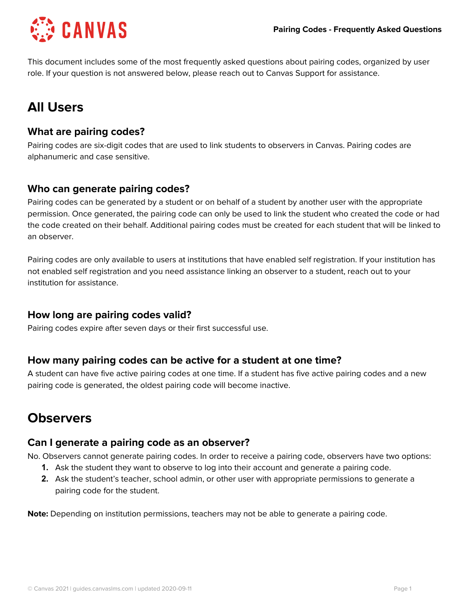

This document includes some of the most frequently asked questions about pairing codes, organized by user role. If your question is not answered below, please reach out to Canvas Support for assistance.

# **All Users**

## **What are pairing codes?**

Pairing codes are six-digit codes that are used to link students to observers in Canvas. Pairing codes are alphanumeric and case sensitive.

### **Who can generate pairing codes?**

Pairing codes can be generated by a student or on behalf of a student by another user with the appropriate permission. Once generated, the pairing code can only be used to link the student who created the code or had the code created on their behalf. Additional pairing codes must be created for each student that will be linked to an observer.

Pairing codes are only available to users at institutions that have enabled self registration. If your institution has not enabled self registration and you need assistance linking an observer to a student, reach out to your institution for assistance.

## **How long are pairing codes valid?**

Pairing codes expire after seven days or their first successful use.

## **How many pairing codes can be active for a student at one time?**

A student can have five active pairing codes at one time. If a student has five active pairing codes and a new pairing code is generated, the oldest pairing code will become inactive.

# **Observers**

#### **Can I generate a pairing code as an observer?**

No. Observers cannot generate pairing codes. In order to receive a pairing code, observers have two options:

- **1.** Ask the student they want to observe to log into their account and generate a pairing code.
- **2.** Ask the student's teacher, school admin, or other user with appropriate permissions to generate a pairing code for the student.

**Note:** Depending on institution permissions, teachers may not be able to generate a pairing code.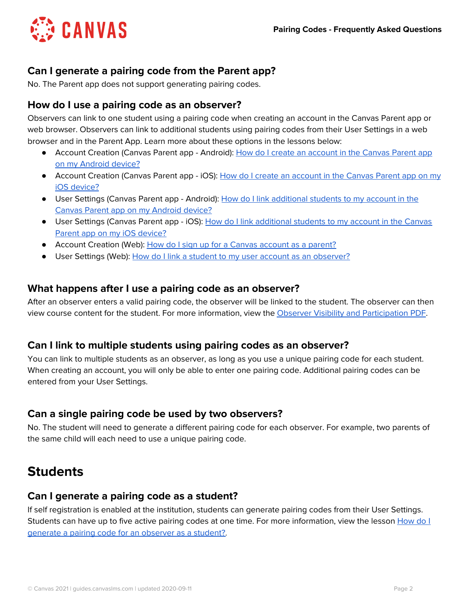

## **Can I generate a pairing code from the Parent app?**

No. The Parent app does not support generating pairing codes.

## **How do I use a pairing code as an observer?**

Observers can link to one student using a pairing code when creating an account in the Canvas Parent app or web browser. Observers can link to additional students using pairing codes from their User Settings in a web browser and in the Parent App. Learn more about these options in the lessons below:

- Account Creation (Canvas Parent app Android): How do I create an [account](https://community.canvaslms.com/t5/Canvas-Parent-Android-Guide/How-do-I-create-an-account-in-the-Canvas-Parent-app-on-my/ta-p/2032) in the Canvas Parent app on my [Android](https://community.canvaslms.com/t5/Canvas-Parent-Android-Guide/How-do-I-create-an-account-in-the-Canvas-Parent-app-on-my/ta-p/2032) device?
- Account Creation (Canvas Parent app iOS): How do I create an [account](https://community.canvaslms.com/t5/Canvas-Parent-iOS-Guide/How-do-I-create-an-account-in-the-Canvas-Parent-app-on-my-iOS/ta-p/2063) in the Canvas Parent app on my iOS [device?](https://community.canvaslms.com/t5/Canvas-Parent-iOS-Guide/How-do-I-create-an-account-in-the-Canvas-Parent-app-on-my-iOS/ta-p/2063)
- User Settings (Canvas Parent app Android): How do I link [additional](https://community.canvaslms.com/t5/Canvas-Parent-Android-Guide/How-do-I-link-additional-students-to-my-account-in-the-Canvas/ta-p/2050) students to my account in the Canvas Parent app on my [Android](https://community.canvaslms.com/t5/Canvas-Parent-Android-Guide/How-do-I-link-additional-students-to-my-account-in-the-Canvas/ta-p/2050) device?
- User Settings (Canvas Parent app iOS): How do I link [additional](https://community.canvaslms.com/t5/Canvas-Parent-iOS-Guide/How-do-I-link-additional-students-to-my-account-in-the-Canvas/ta-p/2075) students to my account in the Canvas Parent app on my iOS [device?](https://community.canvaslms.com/t5/Canvas-Parent-iOS-Guide/How-do-I-link-additional-students-to-my-account-in-the-Canvas/ta-p/2075)
- Account Creation (Web): How do I sign up for a Canvas [account](https://community.canvaslms.com/t5/Observer-Guide/How-do-I-sign-up-for-a-Canvas-account-as-a-parent/ta-p/540) as a parent?
- User Settings (Web): How do I link a student to my user account as an [observer?](https://community.canvaslms.com/t5/Observer-Guide/How-do-I-link-a-student-to-my-user-account-as-an-observer/ta-p/539)

#### **What happens after I use a pairing code as an observer?**

After an observer enters a valid pairing code, the observer will be linked to the student. The observer can then view course content for the student. For more information, view the Observer Visibility and [Participation](http://bit.ly/observer-visibility) PDF.

## **Can I link to multiple students using pairing codes as an observer?**

You can link to multiple students as an observer, as long as you use a unique pairing code for each student. When creating an account, you will only be able to enter one pairing code. Additional pairing codes can be entered from your User Settings.

#### **Can a single pairing code be used by two observers?**

No. The student will need to generate a different pairing code for each observer. For example, two parents of the same child will each need to use a unique pairing code.

## **Students**

#### **Can I generate a pairing code as a student?**

If self registration is enabled at the institution, students can generate pairing codes from their User Settings. Students can have up to five active pairing codes at one time. For more information, view the lesson [How](https://community.canvaslms.com/t5/Student-Guide/How-do-I-generate-a-pairing-code-for-an-observer-as-a-student/ta-p/418) do I [generate](https://community.canvaslms.com/t5/Student-Guide/How-do-I-generate-a-pairing-code-for-an-observer-as-a-student/ta-p/418) a pairing code for an observer as a student?.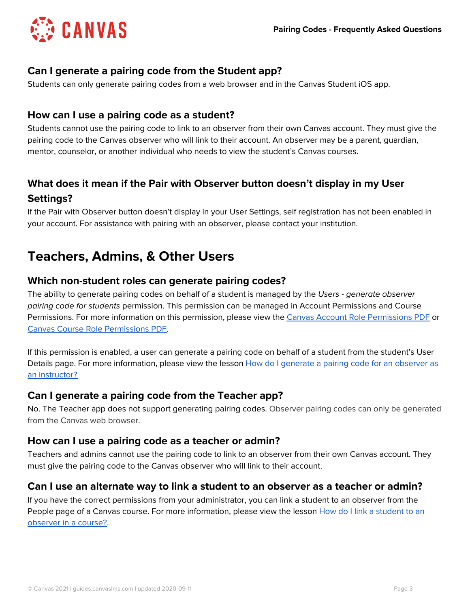

#### **Can I generate a pairing code from the Student app?**

Students can only generate pairing codes from a web browser and in the Canvas Student iOS app.

#### **How can I use a pairing code as a student?**

Students cannot use the pairing code to link to an observer from their own Canvas account. They must give the pairing code to the Canvas observer who will link to their account. An observer may be a parent, guardian, mentor, counselor, or another individual who needs to view the student's Canvas courses.

## **What does it mean if the Pair with Observer button doesn't display in my User Settings?**

If the Pair with Observer button doesn't display in your User Settings, self registration has not been enabled in your account. For assistance with pairing with an observer, please contact your institution.

## **Teachers, Admins, & Other Users**

### **Which non-student roles can generate pairing codes?**

The ability to generate pairing codes on behalf of a student is managed by the Users - generate observer pairing code for students permission. This permission can be managed in Account Permissions and Course Permissions. For more information on this permission, please view the Canvas Account Role [Permissions](http://bit.ly/cnvs-acct-permissions) PDF or Canvas Course Role [Permissions](http://bit.ly/cnvs-course-permissions) PDF.

If this permission is enabled, a user can generate a pairing code on behalf of a student from the student's User Details page. For more information, please view the lesson How do I [generate](https://community.canvaslms.com/t5/Instructor-Guide/How-do-I-generate-a-pairing-code-for-an-observer-as-an/ta-p/1217) a pairing code for an observer as an [instructor?](https://community.canvaslms.com/t5/Instructor-Guide/How-do-I-generate-a-pairing-code-for-an-observer-as-an/ta-p/1217)

#### **Can I generate a pairing code from the Teacher app?**

No. The Teacher app does not support generating pairing codes. Observer pairing codes can only be generated from the Canvas web browser.

#### **How can I use a pairing code as a teacher or admin?**

Teachers and admins cannot use the pairing code to link to an observer from their own Canvas account. They must give the pairing code to the Canvas observer who will link to their account.

#### **Can I use an alternate way to link a student to an observer as a teacher or admin?**

If you have the correct permissions from your administrator, you can link a student to an observer from the People page of a Canvas course. For more information, please view the lesson How do I link a [student](https://community.canvaslms.com/t5/Instructor-Guide/How-do-I-link-a-student-to-an-observer-in-a-course/ta-p/1254) to an [observer](https://community.canvaslms.com/t5/Instructor-Guide/How-do-I-link-a-student-to-an-observer-in-a-course/ta-p/1254) in a course?.